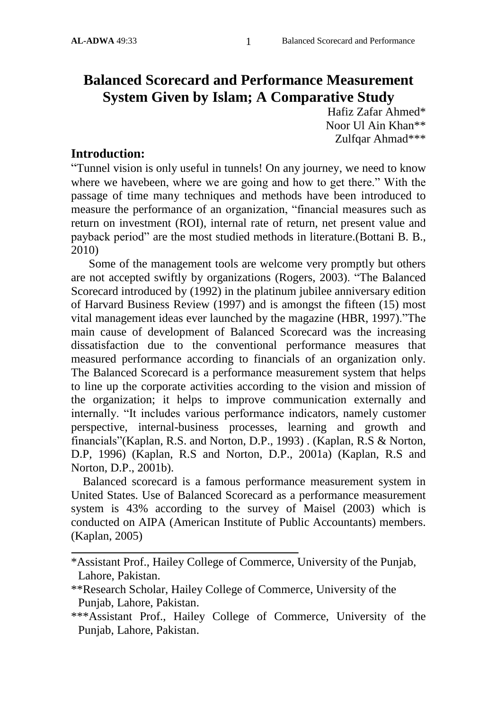# **Balanced Scorecard and Performance Measurement System Given by Islam; A Comparative Study**

Hafiz Zafar Ahmed\* Noor Ul Ain Khan\*\* Zulfqar Ahmad\*\*\*

#### **Introduction:**

"Tunnel vision is only useful in tunnels! On any journey, we need to know where we havebeen, where we are going and how to get there." With the passage of time many techniques and methods have been introduced to measure the performance of an organization, "financial measures such as return on investment (ROI), internal rate of return, net present value and payback period" are the most studied methods in literature.(Bottani B. B., 2010)

 Some of the management tools are welcome very promptly but others are not accepted swiftly by organizations (Rogers, 2003). "The Balanced Scorecard introduced by (1992) in the platinum jubilee anniversary edition of Harvard Business Review (1997) and is amongst the fifteen (15) most vital management ideas ever launched by the magazine (HBR, 1997)."The main cause of development of Balanced Scorecard was the increasing dissatisfaction due to the conventional performance measures that measured performance according to financials of an organization only. The Balanced Scorecard is a performance measurement system that helps to line up the corporate activities according to the vision and mission of the organization; it helps to improve communication externally and internally. "It includes various performance indicators, namely customer perspective, internal-business processes, learning and growth and financials"(Kaplan, R.S. and Norton, D.P., 1993) . (Kaplan, R.S & Norton, D.P, 1996) (Kaplan, R.S and Norton, D.P., 2001a) (Kaplan, R.S and Norton, D.P., 2001b).

 Balanced scorecard is a famous performance measurement system in United States. Use of Balanced Scorecard as a performance measurement system is 43% according to the survey of Maisel (2003) which is conducted on AIPA (American Institute of Public Accountants) members. (Kaplan, 2005)

<sup>\*</sup>Assistant Prof., Hailey College of Commerce, University of the Punjab, Lahore, Pakistan.

<sup>\*\*</sup>Research Scholar, Hailey College of Commerce, University of the Punjab, Lahore, Pakistan.

<sup>\*\*\*</sup>Assistant Prof., Hailey College of Commerce, University of the Punjab, Lahore, Pakistan.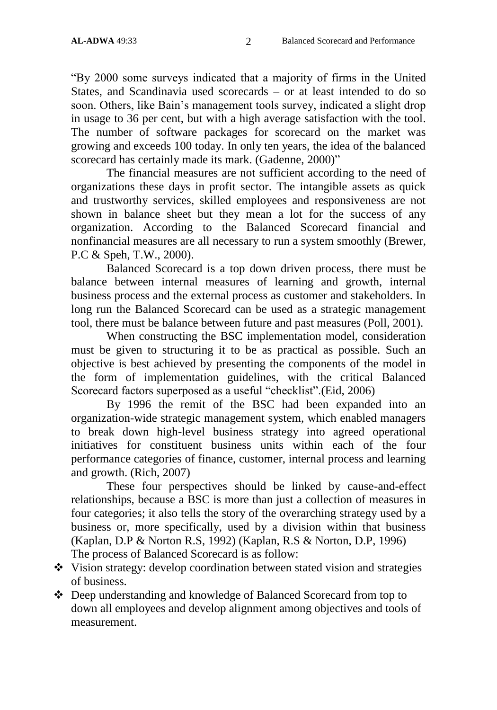"By 2000 some surveys indicated that a majority of firms in the United States, and Scandinavia used scorecards – or at least intended to do so soon. Others, like Bain"s management tools survey, indicated a slight drop in usage to 36 per cent, but with a high average satisfaction with the tool. The number of software packages for scorecard on the market was growing and exceeds 100 today. In only ten years, the idea of the balanced scorecard has certainly made its mark. (Gadenne, 2000)"

The financial measures are not sufficient according to the need of organizations these days in profit sector. The intangible assets as quick and trustworthy services, skilled employees and responsiveness are not shown in balance sheet but they mean a lot for the success of any organization. According to the Balanced Scorecard financial and nonfinancial measures are all necessary to run a system smoothly (Brewer, P.C & Speh, T.W., 2000).

Balanced Scorecard is a top down driven process, there must be balance between internal measures of learning and growth, internal business process and the external process as customer and stakeholders. In long run the Balanced Scorecard can be used as a strategic management tool, there must be balance between future and past measures (Poll, 2001).

When constructing the BSC implementation model, consideration must be given to structuring it to be as practical as possible. Such an objective is best achieved by presenting the components of the model in the form of implementation guidelines, with the critical Balanced Scorecard factors superposed as a useful "checklist".(Eid, 2006)

By 1996 the remit of the BSC had been expanded into an organization-wide strategic management system, which enabled managers to break down high-level business strategy into agreed operational initiatives for constituent business units within each of the four performance categories of finance, customer, internal process and learning and growth. (Rich, 2007)

These four perspectives should be linked by cause-and-effect relationships, because a BSC is more than just a collection of measures in four categories; it also tells the story of the overarching strategy used by a business or, more specifically, used by a division within that business (Kaplan, D.P & Norton R.S, 1992) (Kaplan, R.S & Norton, D.P, 1996) The process of Balanced Scorecard is as follow:

- Vision strategy: develop coordination between stated vision and strategies of business.
- Deep understanding and knowledge of Balanced Scorecard from top to down all employees and develop alignment among objectives and tools of measurement.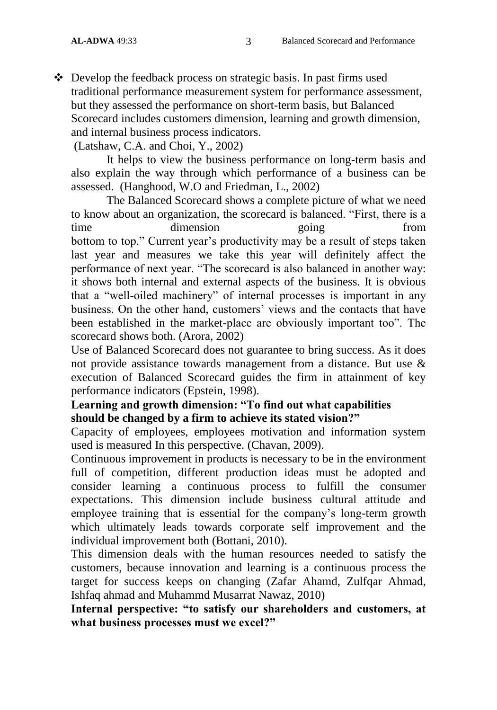Develop the feedback process on strategic basis. In past firms used traditional performance measurement system for performance assessment, but they assessed the performance on short-term basis, but Balanced Scorecard includes customers dimension, learning and growth dimension, and internal business process indicators.

(Latshaw, C.A. and Choi, Y., 2002)

It helps to view the business performance on long-term basis and also explain the way through which performance of a business can be assessed. (Hanghood, W.O and Friedman, L., 2002)

The Balanced Scorecard shows a complete picture of what we need to know about an organization, the scorecard is balanced. "First, there is a time dimension going from bottom to top." Current year"s productivity may be a result of steps taken last year and measures we take this year will definitely affect the performance of next year. "The scorecard is also balanced in another way: it shows both internal and external aspects of the business. It is obvious that a "well-oiled machinery" of internal processes is important in any business. On the other hand, customers' views and the contacts that have been established in the market-place are obviously important too". The scorecard shows both. (Arora, 2002)

Use of Balanced Scorecard does not guarantee to bring success. As it does not provide assistance towards management from a distance. But use & execution of Balanced Scorecard guides the firm in attainment of key performance indicators (Epstein, 1998).

#### **Learning and growth dimension: "To find out what capabilities should be changed by a firm to achieve its stated vision?"**

Capacity of employees, employees motivation and information system used is measured In this perspective. (Chavan, 2009).

Continuous improvement in products is necessary to be in the environment full of competition, different production ideas must be adopted and consider learning a continuous process to fulfill the consumer expectations. This dimension include business cultural attitude and employee training that is essential for the company's long-term growth which ultimately leads towards corporate self improvement and the individual improvement both (Bottani, 2010).

This dimension deals with the human resources needed to satisfy the customers, because innovation and learning is a continuous process the target for success keeps on changing (Zafar Ahamd, Zulfqar Ahmad, Ishfaq ahmad and Muhammd Musarrat Nawaz, 2010)

**Internal perspective: "to satisfy our shareholders and customers, at what business processes must we excel?"**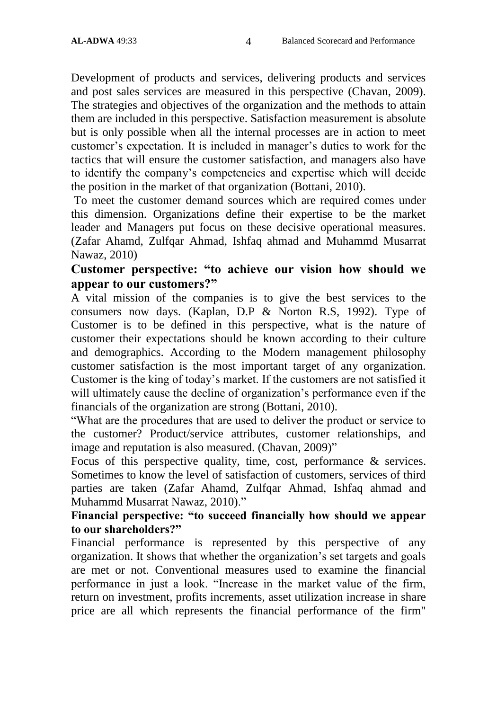Development of products and services, delivering products and services and post sales services are measured in this perspective (Chavan, 2009). The strategies and objectives of the organization and the methods to attain them are included in this perspective. Satisfaction measurement is absolute but is only possible when all the internal processes are in action to meet customer's expectation. It is included in manager's duties to work for the tactics that will ensure the customer satisfaction, and managers also have to identify the company"s competencies and expertise which will decide the position in the market of that organization (Bottani, 2010).

To meet the customer demand sources which are required comes under this dimension. Organizations define their expertise to be the market leader and Managers put focus on these decisive operational measures. (Zafar Ahamd, Zulfqar Ahmad, Ishfaq ahmad and Muhammd Musarrat Nawaz, 2010)

# **Customer perspective: "to achieve our vision how should we appear to our customers?"**

A vital mission of the companies is to give the best services to the consumers now days. (Kaplan, D.P & Norton R.S, 1992). Type of Customer is to be defined in this perspective, what is the nature of customer their expectations should be known according to their culture and demographics. According to the Modern management philosophy customer satisfaction is the most important target of any organization. Customer is the king of today"s market. If the customers are not satisfied it will ultimately cause the decline of organization's performance even if the financials of the organization are strong (Bottani, 2010).

"What are the procedures that are used to deliver the product or service to the customer? Product/service attributes, customer relationships, and image and reputation is also measured. (Chavan, 2009)"

Focus of this perspective quality, time, cost, performance & services. Sometimes to know the level of satisfaction of customers, services of third parties are taken (Zafar Ahamd, Zulfqar Ahmad, Ishfaq ahmad and Muhammd Musarrat Nawaz, 2010)."

#### **Financial perspective: "to succeed financially how should we appear to our shareholders?"**

Financial performance is represented by this perspective of any organization. It shows that whether the organization"s set targets and goals are met or not. Conventional measures used to examine the financial performance in just a look. "Increase in the market value of the firm, return on investment, profits increments, asset utilization increase in share price are all which represents the financial performance of the firm"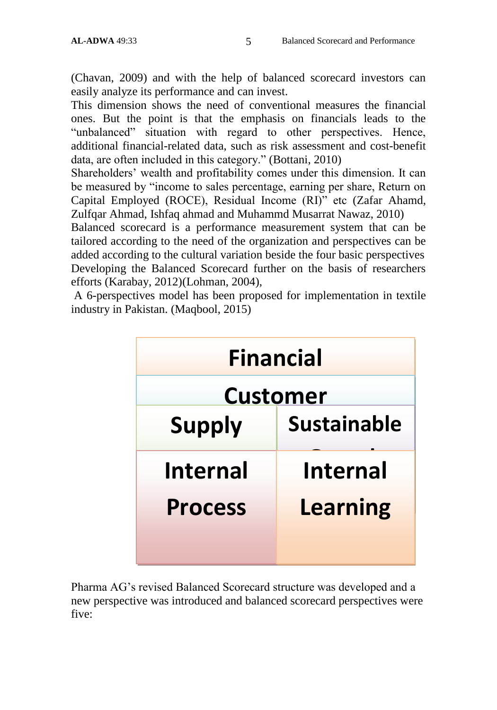(Chavan, 2009) and with the help of balanced scorecard investors can easily analyze its performance and can invest.

This dimension shows the need of conventional measures the financial ones. But the point is that the emphasis on financials leads to the "unbalanced" situation with regard to other perspectives. Hence, additional financial-related data, such as risk assessment and cost-benefit data, are often included in this category." (Bottani, 2010)

Shareholders" wealth and profitability comes under this dimension. It can be measured by "income to sales percentage, earning per share, Return on Capital Employed (ROCE), Residual Income (RI)" etc (Zafar Ahamd, Zulfqar Ahmad, Ishfaq ahmad and Muhammd Musarrat Nawaz, 2010)

Balanced scorecard is a performance measurement system that can be tailored according to the need of the organization and perspectives can be added according to the cultural variation beside the four basic perspectives Developing the Balanced Scorecard further on the basis of researchers efforts (Karabay, 2012)(Lohman, 2004),

A 6-perspectives model has been proposed for implementation in textile industry in Pakistan. (Maqbool, 2015)



Pharma AG"s revised Balanced Scorecard structure was developed and a new perspective was introduced and balanced scorecard perspectives were five: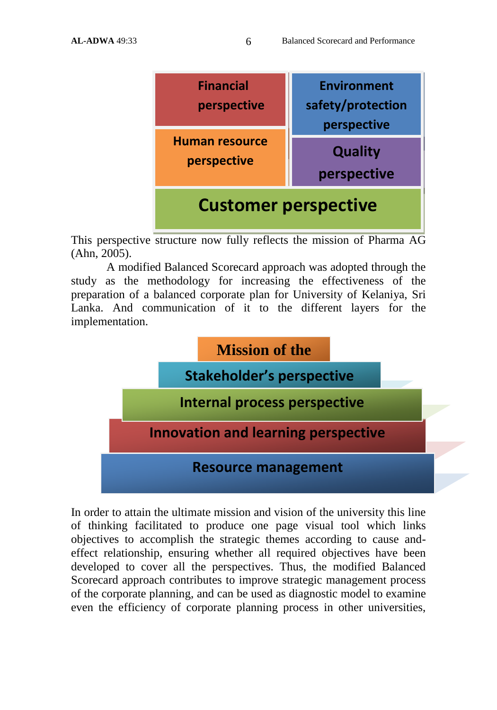

This perspective structure now fully reflects the mission of Pharma AG (Ahn, 2005).

A modified Balanced Scorecard approach was adopted through the study as the methodology for increasing the effectiveness of the preparation of a balanced corporate plan for University of Kelaniya, Sri Lanka. And communication of it to the different layers for the implementation.



In order to attain the ultimate mission and vision of the university this line of thinking facilitated to produce one page visual tool which links objectives to accomplish the strategic themes according to cause andeffect relationship, ensuring whether all required objectives have been developed to cover all the perspectives. Thus, the modified Balanced Scorecard approach contributes to improve strategic management process of the corporate planning, and can be used as diagnostic model to examine even the efficiency of corporate planning process in other universities,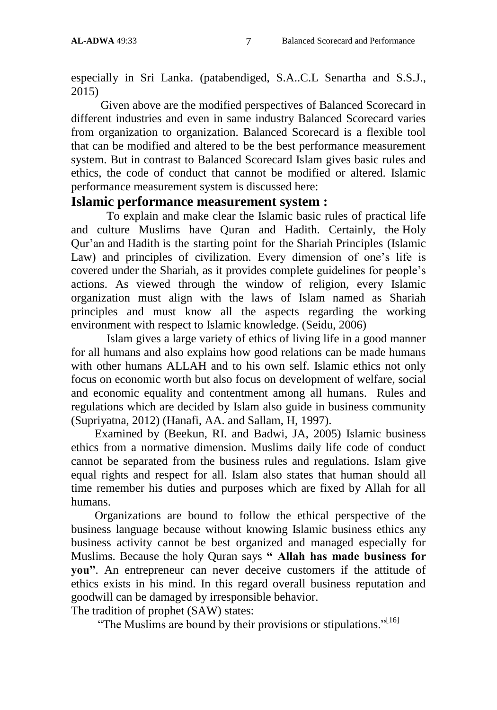especially in Sri Lanka. (patabendiged, S.A..C.L Senartha and S.S.J., 2015)

 Given above are the modified perspectives of Balanced Scorecard in different industries and even in same industry Balanced Scorecard varies from organization to organization. Balanced Scorecard is a flexible tool that can be modified and altered to be the best performance measurement system. But in contrast to Balanced Scorecard Islam gives basic rules and ethics, the code of conduct that cannot be modified or altered. Islamic performance measurement system is discussed here:

# **Islamic performance measurement system :**

To explain and make clear the Islamic basic rules of practical life and culture Muslims have Quran and Hadith. Certainly, the Holy Qur"an and Hadith is the starting point for the Shariah Principles (Islamic Law) and principles of civilization. Every dimension of one's life is covered under the Shariah, as it provides complete guidelines for people"s actions. As viewed through the window of religion, every Islamic organization must align with the laws of Islam named as Shariah principles and must know all the aspects regarding the working environment with respect to Islamic knowledge. (Seidu, 2006)

Islam gives a large variety of ethics of living life in a good manner for all humans and also explains how good relations can be made humans with other humans ALLAH and to his own self. Islamic ethics not only focus on economic worth but also focus on development of welfare, social and economic equality and contentment among all humans. Rules and regulations which are decided by Islam also guide in business community (Supriyatna, 2012) (Hanafi, AA. and Sallam, H, 1997).

 Examined by (Beekun, RI. and Badwi, JA, 2005) Islamic business ethics from a normative dimension. Muslims daily life code of conduct cannot be separated from the business rules and regulations. Islam give equal rights and respect for all. Islam also states that human should all time remember his duties and purposes which are fixed by Allah for all humans.

 Organizations are bound to follow the ethical perspective of the business language because without knowing Islamic business ethics any business activity cannot be best organized and managed especially for Muslims. Because the holy Quran says **" Allah has made business for you"**. An entrepreneur can never deceive customers if the attitude of ethics exists in his mind. In this regard overall business reputation and goodwill can be damaged by irresponsible behavior.

The tradition of prophet (SAW) states:

"The Muslims are bound by their provisions or stipulations."<sup>[16]</sup>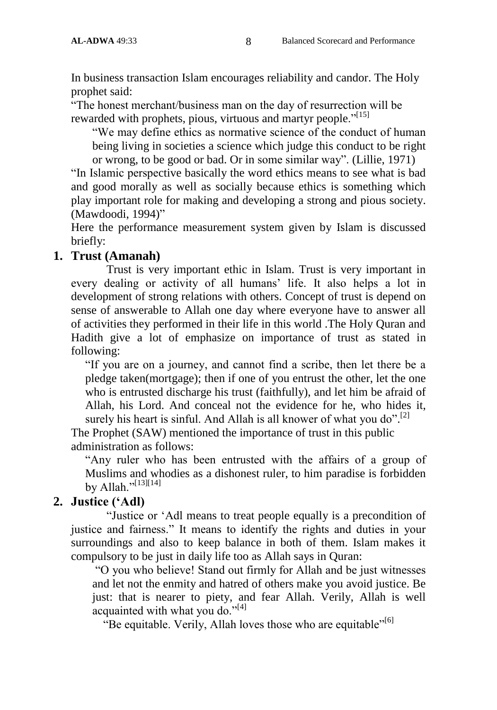In business transaction Islam encourages reliability and candor. The Holy prophet said:

"The honest merchant/business man on the day of resurrection will be rewarded with prophets, pious, virtuous and martyr people."<sup>[15]</sup>

"We may define ethics as normative science of the conduct of human being living in societies a science which judge this conduct to be right or wrong, to be good or bad. Or in some similar way". (Lillie, 1971)

"In Islamic perspective basically the word ethics means to see what is bad and good morally as well as socially because ethics is something which play important role for making and developing a strong and pious society. (Mawdoodi, 1994)"

Here the performance measurement system given by Islam is discussed briefly:

#### **1. Trust (Amanah)**

Trust is very important ethic in Islam. Trust is very important in every dealing or activity of all humans' life. It also helps a lot in development of strong relations with others. Concept of trust is depend on sense of answerable to Allah one day where everyone have to answer all of activities they performed in their life in this world .The Holy Quran and Hadith give a lot of emphasize on importance of trust as stated in following:

"If you are on a journey, and cannot find a scribe, then let there be a pledge taken(mortgage); then if one of you entrust the other, let the one who is entrusted discharge his trust (faithfully), and let him be afraid of Allah, his Lord. And conceal not the evidence for he, who hides it, surely his heart is sinful. And Allah is all knower of what you do".<sup>[2]</sup>

The Prophet (SAW) mentioned the importance of trust in this public administration as follows:

"Any ruler who has been entrusted with the affairs of a group of Muslims and whodies as a dishonest ruler, to him paradise is forbidden by Allah." $[13][14]$ 

# **2. Justice ("Adl)**

"Justice or "Adl means to treat people equally is a precondition of justice and fairness." It means to identify the rights and duties in your surroundings and also to keep balance in both of them. Islam makes it compulsory to be just in daily life too as Allah says in Quran:

"O you who believe! Stand out firmly for Allah and be just witnesses and let not the enmity and hatred of others make you avoid justice. Be just: that is nearer to piety, and fear Allah. Verily, Allah is well acquainted with what you do."<sup>[4]</sup>

"Be equitable. Verily, Allah loves those who are equitable"<sup>[6]</sup>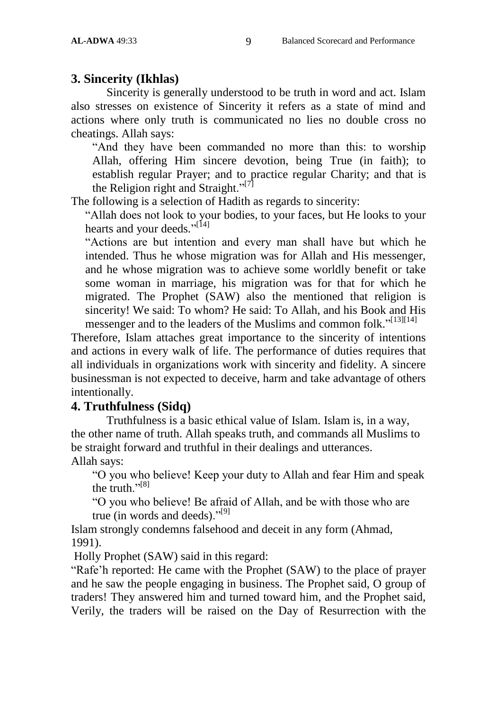# **3. Sincerity (Ikhlas)**

Sincerity is generally understood to be truth in word and act. Islam also stresses on existence of Sincerity it refers as a state of mind and actions where only truth is communicated no lies no double cross no cheatings. Allah says:

"And they have been commanded no more than this: to worship Allah, offering Him sincere devotion, being True (in faith); to establish regular Prayer; and to practice regular Charity; and that is the Religion right and Straight."<sup>[7]</sup>

The following is a selection of Hadith as regards to sincerity:

"Allah does not look to your bodies, to your faces, but He looks to your hearts and your deeds."<sup>[14]</sup>

"Actions are but intention and every man shall have but which he intended. Thus he whose migration was for Allah and His messenger, and he whose migration was to achieve some worldly benefit or take some woman in marriage, his migration was for that for which he migrated. The Prophet (SAW) also the mentioned that religion is sincerity! We said: To whom? He said: To Allah, and his Book and His messenger and to the leaders of the Muslims and common folk."<sup>[13][14]</sup>

Therefore, Islam attaches great importance to the sincerity of intentions and actions in every walk of life. The performance of duties requires that all individuals in organizations work with sincerity and fidelity. A sincere businessman is not expected to deceive, harm and take advantage of others intentionally.

# **4. Truthfulness (Sidq)**

Truthfulness is a basic ethical value of Islam. Islam is, in a way, the other name of truth. Allah speaks truth, and commands all Muslims to be straight forward and truthful in their dealings and utterances. Allah says:

"O you who believe! Keep your duty to Allah and fear Him and speak the truth." $[8]$ 

"O you who believe! Be afraid of Allah, and be with those who are true (in words and deeds)."<sup>[9]</sup>

Islam strongly condemns falsehood and deceit in any form (Ahmad, 1991).

Holly Prophet (SAW) said in this regard:

"Rafe"h reported: He came with the Prophet (SAW) to the place of prayer and he saw the people engaging in business. The Prophet said, O group of traders! They answered him and turned toward him, and the Prophet said, Verily, the traders will be raised on the Day of Resurrection with the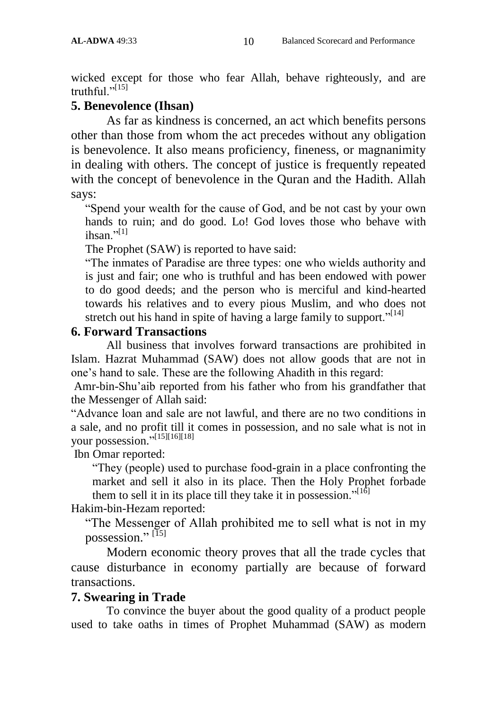wicked except for those who fear Allah, behave righteously, and are truthful  $\cdot$ <sup>[15]</sup>

#### **5. Benevolence (Ihsan)**

As far as kindness is concerned, an act which benefits persons other than those from whom the act precedes without any obligation is benevolence. It also means proficiency, fineness, or magnanimity in dealing with others. The concept of justice is frequently repeated with the concept of benevolence in the Quran and the Hadith. Allah says:

"Spend your wealth for the cause of God, and be not cast by your own hands to ruin; and do good. Lo! God loves those who behave with ihsan $"$ <sup>[1]</sup>

The Prophet (SAW) is reported to have said:

"The inmates of Paradise are three types: one who wields authority and is just and fair; one who is truthful and has been endowed with power to do good deeds; and the person who is merciful and kind-hearted towards his relatives and to every pious Muslim, and who does not stretch out his hand in spite of having a large family to support."<sup>[14]</sup>

#### **6. Forward Transactions**

All business that involves forward transactions are prohibited in Islam. Hazrat Muhammad (SAW) does not allow goods that are not in one"s hand to sale. These are the following Ahadith in this regard:

Amr-bin-Shu"aib reported from his father who from his grandfather that the Messenger of Allah said:

"Advance loan and sale are not lawful, and there are no two conditions in a sale, and no profit till it comes in possession, and no sale what is not in your possession."<sup>[15][16][18]</sup>

Ibn Omar reported:

"They (people) used to purchase food-grain in a place confronting the market and sell it also in its place. Then the Holy Prophet forbade them to sell it in its place till they take it in possession."<sup>[16]</sup>

Hakim-bin-Hezam reported:

"The Messenger of Allah prohibited me to sell what is not in my possession."<sup>[15]</sup>

Modern economic theory proves that all the trade cycles that cause disturbance in economy partially are because of forward transactions.

# **7. Swearing in Trade**

To convince the buyer about the good quality of a product people used to take oaths in times of Prophet Muhammad (SAW) as modern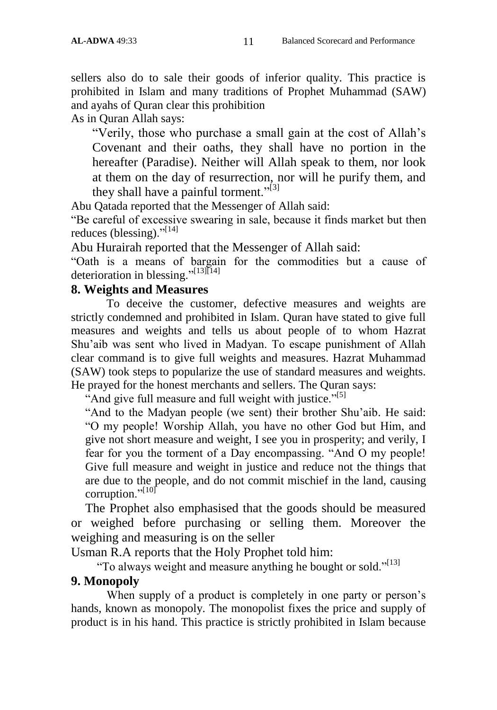sellers also do to sale their goods of inferior quality. This practice is prohibited in Islam and many traditions of Prophet Muhammad (SAW) and ayahs of Quran clear this prohibition

As in Quran Allah says:

"Verily, those who purchase a small gain at the cost of Allah"s Covenant and their oaths, they shall have no portion in the hereafter (Paradise). Neither will Allah speak to them, nor look at them on the day of resurrection, nor will he purify them, and they shall have a painful torment."<sup>[3]</sup>

Abu Qatada reported that the Messenger of Allah said:

"Be careful of excessive swearing in sale, because it finds market but then reduces (blessing)." $[14]$ 

Abu Hurairah reported that the Messenger of Allah said:

"Oath is a means of bargain for the commodities but a cause of deterioration in blessing." $[13]$ [14]

#### **8. Weights and Measures**

To deceive the customer, defective measures and weights are strictly condemned and prohibited in Islam. Quran have stated to give full measures and weights and tells us about people of to whom Hazrat Shu"aib was sent who lived in Madyan. To escape punishment of Allah clear command is to give full weights and measures. Hazrat Muhammad (SAW) took steps to popularize the use of standard measures and weights. He prayed for the honest merchants and sellers. The Quran says:

"And give full measure and full weight with justice."<sup>[5]</sup>

"And to the Madyan people (we sent) their brother Shu'aib. He said: "O my people! Worship Allah, you have no other God but Him, and give not short measure and weight, I see you in prosperity; and verily, I fear for you the torment of a Day encompassing. "And O my people! Give full measure and weight in justice and reduce not the things that are due to the people, and do not commit mischief in the land, causing corruption." $[10]$ 

The Prophet also emphasised that the goods should be measured or weighed before purchasing or selling them. Moreover the weighing and measuring is on the seller

Usman R.A reports that the Holy Prophet told him:

"To always weight and measure anything he bought or sold."<sup>[13]</sup>

#### **9. Monopoly**

When supply of a product is completely in one party or person's hands, known as monopoly. The monopolist fixes the price and supply of product is in his hand. This practice is strictly prohibited in Islam because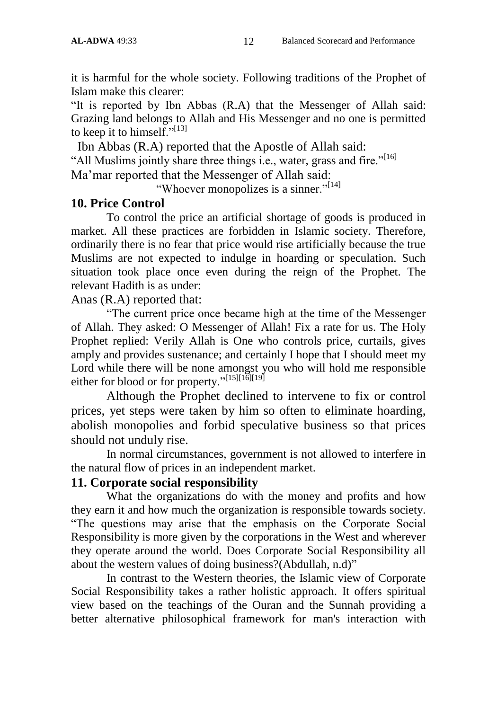it is harmful for the whole society. Following traditions of the Prophet of Islam make this clearer:

"It is reported by Ibn Abbas (R.A) that the Messenger of Allah said: Grazing land belongs to Allah and His Messenger and no one is permitted to keep it to himself."<sup>[13]</sup>

Ibn Abbas (R.A) reported that the Apostle of Allah said:

"All Muslims jointly share three things i.e., water, grass and fire."<sup>[16]</sup>

Ma"mar reported that the Messenger of Allah said:

"Whoever monopolizes is a sinner."<sup>[14]</sup>

#### **10. Price Control**

To control the price an artificial shortage of goods is produced in market. All these practices are forbidden in Islamic society. Therefore, ordinarily there is no fear that price would rise artificially because the true Muslims are not expected to indulge in hoarding or speculation. Such situation took place once even during the reign of the Prophet. The relevant Hadith is as under:

Anas (R.A) reported that:

"The current price once became high at the time of the Messenger of Allah. They asked: O Messenger of Allah! Fix a rate for us. The Holy Prophet replied: Verily Allah is One who controls price, curtails, gives amply and provides sustenance; and certainly I hope that I should meet my Lord while there will be none amongst you who will hold me responsible either for blood or for property."<sup>[15][16][19]</sup>

Although the Prophet declined to intervene to fix or control prices, yet steps were taken by him so often to eliminate hoarding, abolish monopolies and forbid speculative business so that prices should not unduly rise.

In normal circumstances, government is not allowed to interfere in the natural flow of prices in an independent market.

# **11. Corporate social responsibility**

What the organizations do with the money and profits and how they earn it and how much the organization is responsible towards society. "The questions may arise that the emphasis on the Corporate Social Responsibility is more given by the corporations in the West and wherever they operate around the world. Does Corporate Social Responsibility all about the western values of doing business?(Abdullah, n.d)"

In contrast to the Western theories, the Islamic view of Corporate Social Responsibility takes a rather holistic approach. It offers spiritual view based on the teachings of the Ouran and the Sunnah providing a better alternative philosophical framework for man's interaction with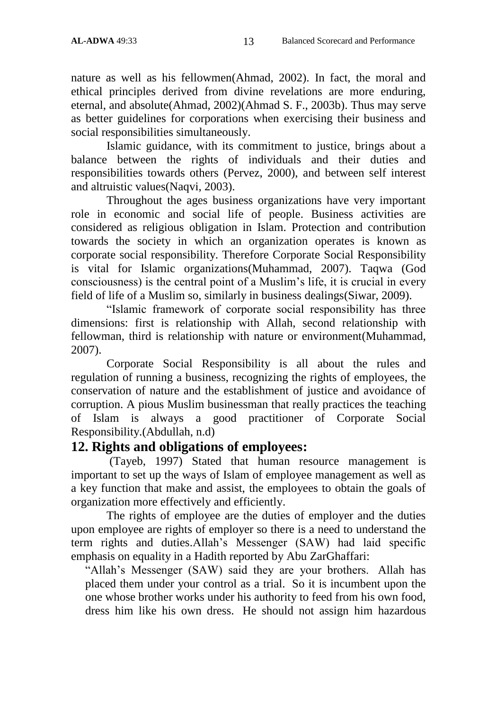nature as well as his fellowmen(Ahmad, 2002). In fact, the moral and ethical principles derived from divine revelations are more enduring, eternal, and absolute(Ahmad, 2002)(Ahmad S. F., 2003b). Thus may serve as better guidelines for corporations when exercising their business and social responsibilities simultaneously.

Islamic guidance, with its commitment to justice, brings about a balance between the rights of individuals and their duties and responsibilities towards others (Pervez, 2000), and between self interest and altruistic values(Naqvi, 2003).

Throughout the ages business organizations have very important role in economic and social life of people. Business activities are considered as religious obligation in Islam. Protection and contribution towards the society in which an organization operates is known as corporate social responsibility. Therefore Corporate Social Responsibility is vital for Islamic organizations(Muhammad, 2007). Taqwa (God consciousness) is the central point of a Muslim"s life, it is crucial in every field of life of a Muslim so, similarly in business dealings(Siwar, 2009).

"Islamic framework of corporate social responsibility has three dimensions: first is relationship with Allah, second relationship with fellowman, third is relationship with nature or environment(Muhammad, 2007).

Corporate Social Responsibility is all about the rules and regulation of running a business, recognizing the rights of employees, the conservation of nature and the establishment of justice and avoidance of corruption. A pious Muslim businessman that really practices the teaching of Islam is always a good practitioner of Corporate Social Responsibility.(Abdullah, n.d)

#### **12. Rights and obligations of employees:**

(Tayeb, 1997) Stated that human resource management is important to set up the ways of Islam of employee management as well as a key function that make and assist, the employees to obtain the goals of organization more effectively and efficiently.

The rights of employee are the duties of employer and the duties upon employee are rights of employer so there is a need to understand the term rights and duties.Allah"s Messenger (SAW) had laid specific emphasis on equality in a Hadith reported by Abu ZarGhaffari:

"Allah"s Messenger (SAW) said they are your brothers. Allah has placed them under your control as a trial. So it is incumbent upon the one whose brother works under his authority to feed from his own food, dress him like his own dress. He should not assign him hazardous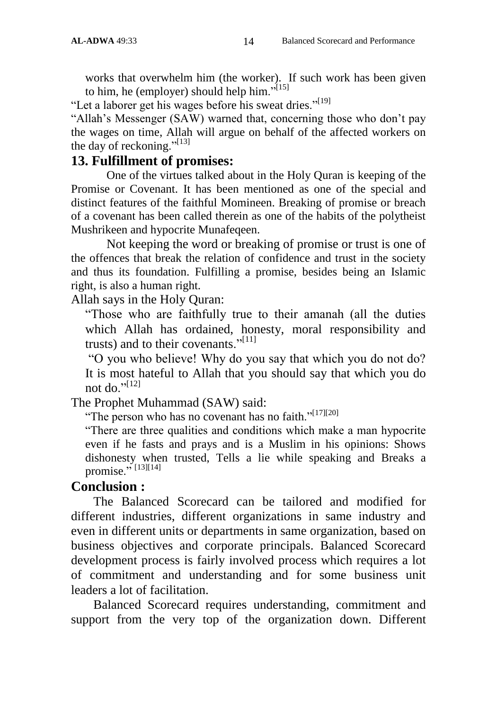works that overwhelm him (the worker). If such work has been given to him, he (employer) should help him." $[15]$ 

"Let a laborer get his wages before his sweat dries."<sup>[19]</sup>

"Allah's Messenger (SAW) warned that, concerning those who don't pay the wages on time, Allah will argue on behalf of the affected workers on the day of reckoning." $[13]$ 

### **13. Fulfillment of promises:**

One of the virtues talked about in the Holy Quran is keeping of the Promise or Covenant. It has been mentioned as one of the special and distinct features of the faithful Momineen. Breaking of promise or breach of a covenant has been called therein as one of the habits of the polytheist Mushrikeen and hypocrite Munafeqeen.

Not keeping the word or breaking of promise or trust is one of the offences that break the relation of confidence and trust in the society and thus its foundation. Fulfilling a promise, besides being an Islamic right, is also a human right.

Allah says in the Holy Quran:

"Those who are faithfully true to their amanah (all the duties which Allah has ordained, honesty, moral responsibility and trusts) and to their covenants."<sup>[11]</sup>

"O you who believe! Why do you say that which you do not do? It is most hateful to Allah that you should say that which you do not do $^{$ .,[12]

The Prophet Muhammad (SAW) said:

"The person who has no covenant has no faith."<sup>[17][20]</sup>

"There are three qualities and conditions which make a man hypocrite even if he fasts and prays and is a Muslim in his opinions: Shows dishonesty when trusted, Tells a lie while speaking and Breaks a promise." $^{[13][14]}$ 

# **Conclusion :**

 The Balanced Scorecard can be tailored and modified for different industries, different organizations in same industry and even in different units or departments in same organization, based on business objectives and corporate principals. Balanced Scorecard development process is fairly involved process which requires a lot of commitment and understanding and for some business unit leaders a lot of facilitation.

 Balanced Scorecard requires understanding, commitment and support from the very top of the organization down. Different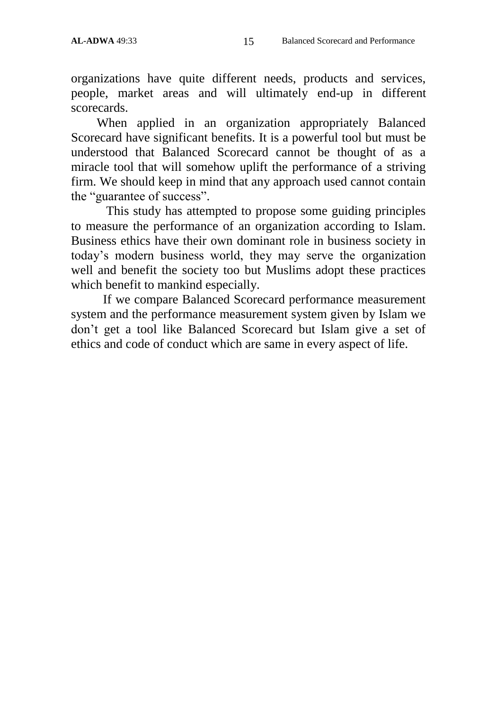organizations have quite different needs, products and services, people, market areas and will ultimately end-up in different scorecards.

 When applied in an organization appropriately Balanced Scorecard have significant benefits. It is a powerful tool but must be understood that Balanced Scorecard cannot be thought of as a miracle tool that will somehow uplift the performance of a striving firm. We should keep in mind that any approach used cannot contain the "guarantee of success".

 This study has attempted to propose some guiding principles to measure the performance of an organization according to Islam. Business ethics have their own dominant role in business society in today"s modern business world, they may serve the organization well and benefit the society too but Muslims adopt these practices which benefit to mankind especially.

 If we compare Balanced Scorecard performance measurement system and the performance measurement system given by Islam we don"t get a tool like Balanced Scorecard but Islam give a set of ethics and code of conduct which are same in every aspect of life.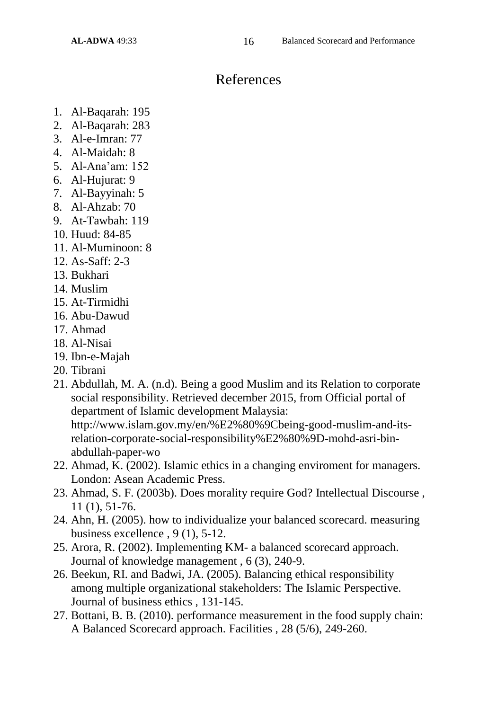# References

- 1. Al-Baqarah: 195
- 2. Al-Baqarah: 283
- 3. Al-e-Imran: 77
- 4. Al-Maidah: 8
- 5. Al-Ana"am: 152
- 6. Al-Hujurat: 9
- 7. Al-Bayyinah: 5
- 8. Al-Ahzab: 70
- 9. At-Tawbah: 119
- 10. Huud: 84-85
- 11. Al-Muminoon: 8
- 12. As-Saff: 2-3
- 13. Bukhari
- 14. Muslim
- 15. At-Tirmidhi
- 16. Abu-Dawud
- 17. Ahmad
- 18. Al-Nisai
- 19. Ibn-e-Majah
- 20. Tibrani
- 21. Abdullah, M. A. (n.d). Being a good Muslim and its Relation to corporate social responsibility. Retrieved december 2015, from Official portal of department of Islamic development Malaysia: http://www.islam.gov.my/en/%E2%80%9Cbeing-good-muslim-and-its-

relation-corporate-social-responsibility%E2%80%9D-mohd-asri-binabdullah-paper-wo

- 22. Ahmad, K. (2002). Islamic ethics in a changing enviroment for managers. London: Asean Academic Press.
- 23. Ahmad, S. F. (2003b). Does morality require God? Intellectual Discourse , 11 (1), 51-76.
- 24. Ahn, H. (2005). how to individualize your balanced scorecard. measuring business excellence , 9 (1), 5-12.
- 25. Arora, R. (2002). Implementing KM- a balanced scorecard approach. Journal of knowledge management , 6 (3), 240-9.
- 26. Beekun, RI. and Badwi, JA. (2005). Balancing ethical responsibility among multiple organizational stakeholders: The Islamic Perspective. Journal of business ethics , 131-145.
- 27. Bottani, B. B. (2010). performance measurement in the food supply chain: A Balanced Scorecard approach. Facilities , 28 (5/6), 249-260.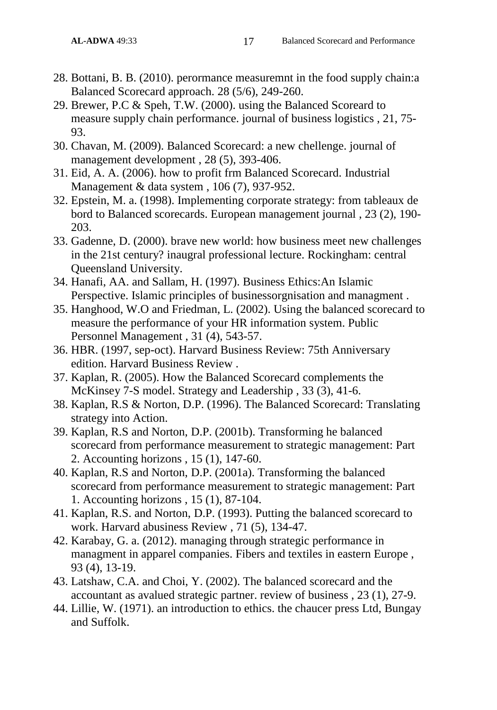- 28. Bottani, B. B. (2010). perormance measuremnt in the food supply chain:a Balanced Scorecard approach. 28 (5/6), 249-260.
- 29. Brewer, P.C & Speh, T.W. (2000). using the Balanced Scoreard to measure supply chain performance. journal of business logistics , 21, 75- 93.
- 30. Chavan, M. (2009). Balanced Scorecard: a new chellenge. journal of management development , 28 (5), 393-406.
- 31. Eid, A. A. (2006). how to profit frm Balanced Scorecard. Industrial Management & data system , 106 (7), 937-952.
- 32. Epstein, M. a. (1998). Implementing corporate strategy: from tableaux de bord to Balanced scorecards. European management journal , 23 (2), 190- 203.
- 33. Gadenne, D. (2000). brave new world: how business meet new challenges in the 21st century? inaugral professional lecture. Rockingham: central Queensland University.
- 34. Hanafi, AA. and Sallam, H. (1997). Business Ethics:An Islamic Perspective. Islamic principles of businessorgnisation and managment .
- 35. Hanghood, W.O and Friedman, L. (2002). Using the balanced scorecard to measure the performance of your HR information system. Public Personnel Management , 31 (4), 543-57.
- 36. HBR. (1997, sep-oct). Harvard Business Review: 75th Anniversary edition. Harvard Business Review .
- 37. Kaplan, R. (2005). How the Balanced Scorecard complements the McKinsey 7-S model. Strategy and Leadership , 33 (3), 41-6.
- 38. Kaplan, R.S & Norton, D.P. (1996). The Balanced Scorecard: Translating strategy into Action.
- 39. Kaplan, R.S and Norton, D.P. (2001b). Transforming he balanced scorecard from performance measurement to strategic management: Part 2. Accounting horizons , 15 (1), 147-60.
- 40. Kaplan, R.S and Norton, D.P. (2001a). Transforming the balanced scorecard from performance measurement to strategic management: Part 1. Accounting horizons , 15 (1), 87-104.
- 41. Kaplan, R.S. and Norton, D.P. (1993). Putting the balanced scorecard to work. Harvard abusiness Review , 71 (5), 134-47.
- 42. Karabay, G. a. (2012). managing through strategic performance in managment in apparel companies. Fibers and textiles in eastern Europe , 93 (4), 13-19.
- 43. Latshaw, C.A. and Choi, Y. (2002). The balanced scorecard and the accountant as avalued strategic partner. review of business , 23 (1), 27-9.
- 44. Lillie, W. (1971). an introduction to ethics. the chaucer press Ltd, Bungay and Suffolk.